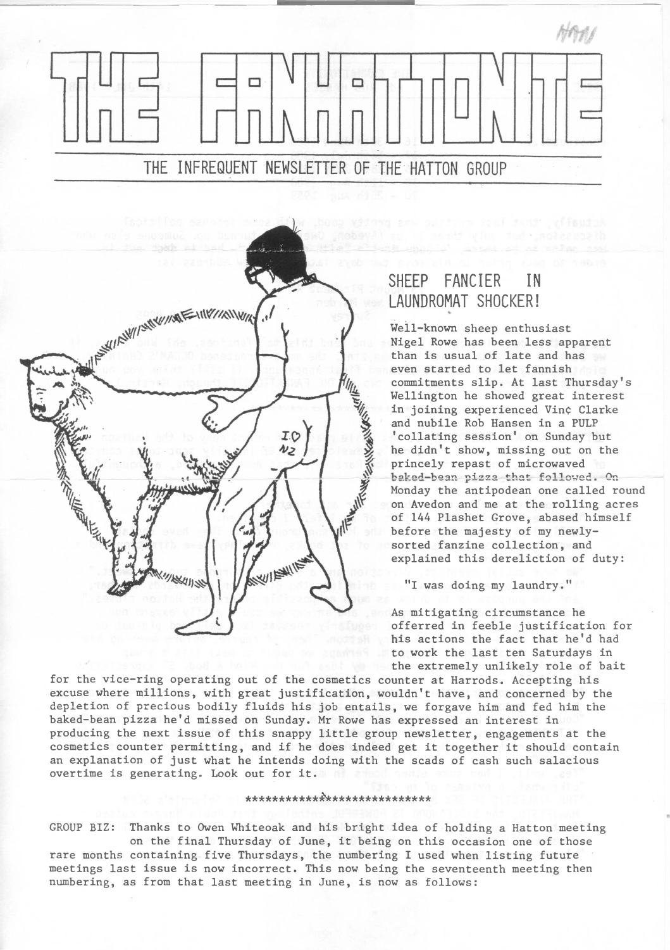



## SHEEP FANCIER IN LAUNDROMAT SHOCKER!

Well-known sheep enthusiast Nigel Rowe has been less apparent than is usual of late and has even started to let fannish commitments slip. At last Thursday's Wellington he showed great interest in joining experienced Vine Clarke and nubile Rob Hansen in a PULP 'collating session' on Sunday but he didn't show, missing out on the princely repast of microwaved baked-bean pizza that followed. On Monday the antipodean one called round on Avedon and me at the rolling acres of 144 Plashet Grove, abased himself before the majesty of my newlysorted fanzine collection, and explained this dereliction of duty:

"I was doing my laundry."

As mitigating circumstance he offerred in feeble justification for his actions the fact that he'<sup>d</sup> had to work the last ten Saturdays in the extremely unlikely role of bait

for the vice-ring operating out of the cosmetics counter at Harrods. Accepting his excuse where millions, with great justification, wouldn't have, and concerned by the depletion of precious bodily fluids his job entails, we forgave him and fed him the baked-bean pizza he'<sup>d</sup> missed on Sunday. Mr Rowe has expressed an interest in producing the next issue of this snappy little group newsletter, engagements at the cosmetics counter permitting, and if he does indeed get it together it should contain an explanation of just what he intends doing with the scads of cash such salacious overtime is generating. Look out for it.

## \*\*\*\*\*\*\*\*\*\*\*£\*\*\*\*\*\*\*\*\*\*\*\*\*\*\*\*

GROUP BIZ: Thanks to Owen Whiteoak and his bright idea of holding a Hatton meeting on the final Thursday of June, it being on this occasion one of those

rare months containing five Thursdays, the numbering I used when listing future meetings last issue is now incorrect. This now being the seventeenth meeting then numbering, as from that last meeting in June, is now as follows: